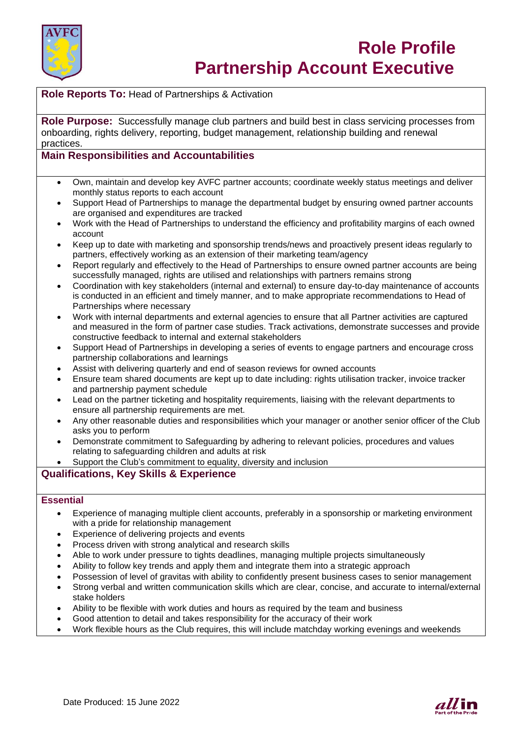

# **Role Profile Partnership Account Executive**

**Role Reports To:** Head of Partnerships & Activation

**Role Purpose:** Successfully manage club partners and build best in class servicing processes from onboarding, rights delivery, reporting, budget management, relationship building and renewal practices.

## **Main Responsibilities and Accountabilities**

- Own, maintain and develop key AVFC partner accounts; coordinate weekly status meetings and deliver monthly status reports to each account
- Support Head of Partnerships to manage the departmental budget by ensuring owned partner accounts are organised and expenditures are tracked
- Work with the Head of Partnerships to understand the efficiency and profitability margins of each owned account
- Keep up to date with marketing and sponsorship trends/news and proactively present ideas regularly to partners, effectively working as an extension of their marketing team/agency
- Report regularly and effectively to the Head of Partnerships to ensure owned partner accounts are being successfully managed, rights are utilised and relationships with partners remains strong
- Coordination with key stakeholders (internal and external) to ensure day-to-day maintenance of accounts is conducted in an efficient and timely manner, and to make appropriate recommendations to Head of Partnerships where necessary
- Work with internal departments and external agencies to ensure that all Partner activities are captured and measured in the form of partner case studies. Track activations, demonstrate successes and provide constructive feedback to internal and external stakeholders
- Support Head of Partnerships in developing a series of events to engage partners and encourage cross partnership collaborations and learnings
- Assist with delivering quarterly and end of season reviews for owned accounts
- Ensure team shared documents are kept up to date including: rights utilisation tracker, invoice tracker and partnership payment schedule
- Lead on the partner ticketing and hospitality requirements, liaising with the relevant departments to ensure all partnership requirements are met.
- Any other reasonable duties and responsibilities which your manager or another senior officer of the Club asks you to perform
- Demonstrate commitment to Safeguarding by adhering to relevant policies, procedures and values relating to safeguarding children and adults at risk
- Support the Club's commitment to equality, diversity and inclusion

### **Qualifications, Key Skills & Experience**

#### **Essential**

- Experience of managing multiple client accounts, preferably in a sponsorship or marketing environment with a pride for relationship management
- Experience of delivering projects and events
- Process driven with strong analytical and research skills
- Able to work under pressure to tights deadlines, managing multiple projects simultaneously
- Ability to follow key trends and apply them and integrate them into a strategic approach
- Possession of level of gravitas with ability to confidently present business cases to senior management
- Strong verbal and written communication skills which are clear, concise, and accurate to internal/external stake holders
- Ability to be flexible with work duties and hours as required by the team and business
- Good attention to detail and takes responsibility for the accuracy of their work
- Work flexible hours as the Club requires, this will include matchday working evenings and weekends